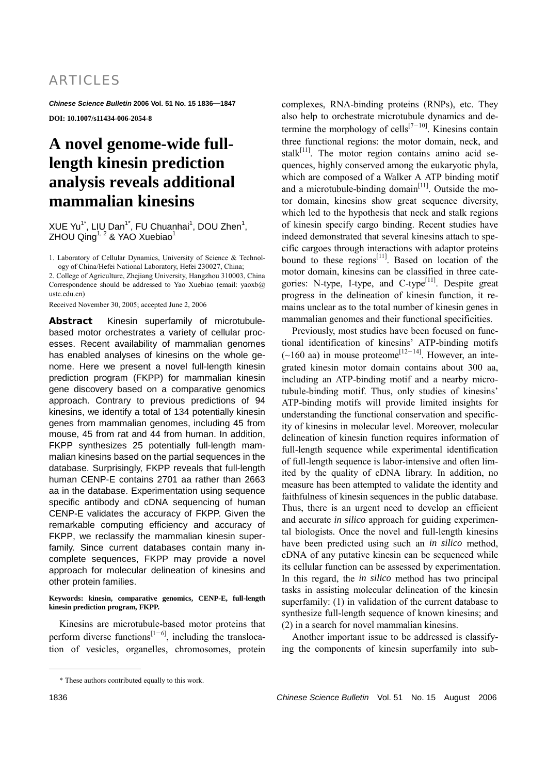*Chinese Science Bulletin* **2006 Vol. 51 No. 15 1836 1847 DOI: 10.1007/s11434-006-2054-8** 

# **A novel genome-wide fulllength kinesin prediction analysis reveals additional mammalian kinesins**

 $XUE Yu<sup>1*</sup>, LIU Dan<sup>1*</sup>, FU Chuanhai<sup>1</sup>, DOU Zhen<sup>1</sup>,$ ZHOU Qing<sup>1, 2</sup> & YAO Xuebiao<sup>1</sup>

1. Laboratory of Cellular Dynamics, University of Science & Technology of China/Hefei National Laboratory, Hefei 230027, China;

2. College of Agriculture, Zhejiang University, Hangzhou 310003, China Correspondence should be addressed to Yao Xuebiao (email: yaoxb@) ustc.edu.cn)

Received November 30, 2005; accepted June 2, 2006

**Abstract** Kinesin superfamily of microtubulebased motor orchestrates a variety of cellular processes. Recent availability of mammalian genomes has enabled analyses of kinesins on the whole genome. Here we present a novel full-length kinesin prediction program (FKPP) for mammalian kinesin gene discovery based on a comparative genomics approach. Contrary to previous predictions of 94 kinesins, we identify a total of 134 potentially kinesin genes from mammalian genomes, including 45 from mouse, 45 from rat and 44 from human. In addition, FKPP synthesizes 25 potentially full-length mammalian kinesins based on the partial sequences in the database. Surprisingly, FKPP reveals that full-length human CENP-E contains 2701 aa rather than 2663 aa in the database. Experimentation using sequence specific antibody and cDNA sequencing of human CENP-E validates the accuracy of FKPP. Given the remarkable computing efficiency and accuracy of FKPP, we reclassify the mammalian kinesin superfamily. Since current databases contain many incomplete sequences, FKPP may provide a novel approach for molecular delineation of kinesins and other protein families.

### **Keywords: kinesin, comparative genomics, CENP-E, full-length kinesin prediction program, FKPP.**

Kinesins are microtubule-based motor proteins that perform diverse functions<sup>[1-6]</sup>, including the translocation of vesicles, organelles, chromosomes, protein complexes, RNA-binding proteins (RNPs), etc. They also help to orchestrate microtubule dynamics and determine the morphology of cells<sup>[7-10]</sup>. Kinesins contain three functional regions: the motor domain, neck, and stal $k^{[11]}$ . The motor region contains amino acid sequences, highly conserved among the eukaryotic phyla, which are composed of a Walker A ATP binding motif and a microtubule-binding domain $[11]$ . Outside the motor domain, kinesins show great sequence diversity, which led to the hypothesis that neck and stalk regions of kinesin specify cargo binding. Recent studies have indeed demonstrated that several kinesins attach to specific cargoes through interactions with adaptor proteins bound to these  $regions<sup>[11]</sup>$ . Based on location of the motor domain, kinesins can be classified in three categories: N-type, I-type, and  $C$ -type<sup>[11]</sup>. Despite great progress in the delineation of kinesin function, it remains unclear as to the total number of kinesin genes in mammalian genomes and their functional specificities.

Previously, most studies have been focused on functional identification of kinesins' ATP-binding motifs  $(-160 \text{ aa})$  in mouse proteome<sup>[12–14]</sup>. However, an integrated kinesin motor domain contains about 300 aa, including an ATP-binding motif and a nearby microtubule-binding motif. Thus, only studies of kinesins' ATP-binding motifs will provide limited insights for understanding the functional conservation and specificity of kinesins in molecular level. Moreover, molecular delineation of kinesin function requires information of full-length sequence while experimental identification of full-length sequence is labor-intensive and often limited by the quality of cDNA library. In addition, no measure has been attempted to validate the identity and faithfulness of kinesin sequences in the public database. Thus, there is an urgent need to develop an efficient and accurate *in silico* approach for guiding experimental biologists. Once the novel and full-length kinesins have been predicted using such an *in silico* method, cDNA of any putative kinesin can be sequenced while its cellular function can be assessed by experimentation. In this regard, the *in silico* method has two principal tasks in assisting molecular delineation of the kinesin superfamily: (1) in validation of the current database to synthesize full-length sequence of known kinesins; and (2) in a search for novel mammalian kinesins.

Another important issue to be addressed is classifying the components of kinesin superfamily into sub-

 $\overline{a}$ 

<sup>\*</sup> These authors contributed equally to this work.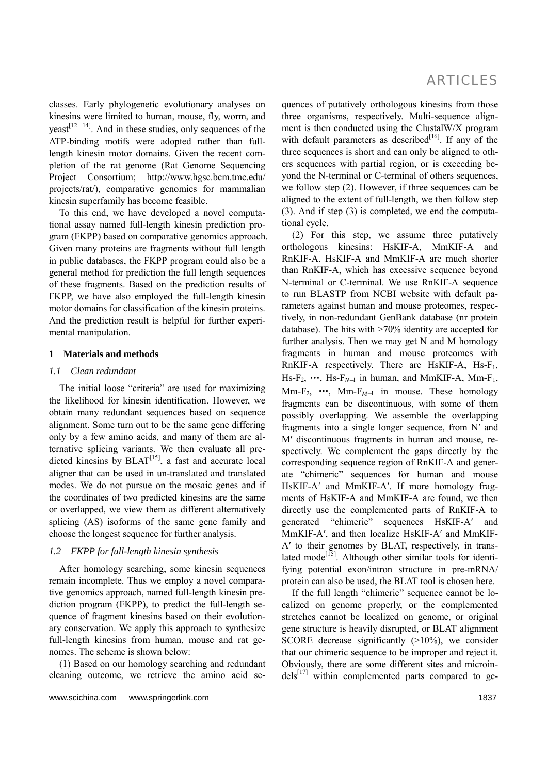classes. Early phylogenetic evolutionary analyses on kinesins were limited to human, mouse, fly, worm, and  $years<sup>[12-14]</sup>$ . And in these studies, only sequences of the ATP-binding motifs were adopted rather than fulllength kinesin motor domains. Given the recent completion of the rat genome (Rat Genome Sequencing Project Consortium; http://www.hgsc.bcm.tmc.edu/ projects/rat/), comparative genomics for mammalian kinesin superfamily has become feasible.

To this end, we have developed a novel computational assay named full-length kinesin prediction program (FKPP) based on comparative genomics approach. Given many proteins are fragments without full length in public databases, the FKPP program could also be a general method for prediction the full length sequences of these fragments. Based on the prediction results of FKPP, we have also employed the full-length kinesin motor domains for classification of the kinesin proteins. And the prediction result is helpful for further experimental manipulation.

### **1 Materials and methods**

#### *1.1 Clean redundant*

The initial loose "criteria" are used for maximizing the likelihood for kinesin identification. However, we obtain many redundant sequences based on sequence alignment. Some turn out to be the same gene differing only by a few amino acids, and many of them are alternative splicing variants. We then evaluate all pre- $\frac{d}{dt}$  dicted kinesins by  $BLAT^{[15]}$ , a fast and accurate local aligner that can be used in un-translated and translated modes. We do not pursue on the mosaic genes and if the coordinates of two predicted kinesins are the same or overlapped, we view them as different alternatively splicing (AS) isoforms of the same gene family and choose the longest sequence for further analysis.

### *1.2 FKPP for full-length kinesin synthesis*

After homology searching, some kinesin sequences remain incomplete. Thus we employ a novel comparative genomics approach, named full-length kinesin prediction program (FKPP), to predict the full-length sequence of fragment kinesins based on their evolutionary conservation. We apply this approach to synthesize full-length kinesins from human, mouse and rat genomes. The scheme is shown below:

(1) Based on our homology searching and redundant cleaning outcome, we retrieve the amino acid sequences of putatively orthologous kinesins from those three organisms, respectively. Multi-sequence alignment is then conducted using the ClustalW/X program with default parameters as described $[16]$ . If any of the three sequences is short and can only be aligned to others sequences with partial region, or is exceeding beyond the N-terminal or C-terminal of others sequences, we follow step (2). However, if three sequences can be aligned to the extent of full-length, we then follow step (3). And if step (3) is completed, we end the computational cycle.

(2) For this step, we assume three putatively orthologous kinesins: HsKIF-A, MmKIF-A and RnKIF-A. HsKIF-A and MmKIF-A are much shorter than RnKIF-A, which has excessive sequence beyond N-terminal or C-terminal. We use RnKIF-A sequence to run BLASTP from NCBI website with default parameters against human and mouse proteomes, respectively, in non-redundant GenBank database (nr protein database). The hits with >70% identity are accepted for further analysis. Then we may get N and M homology fragments in human and mouse proteomes with RnKIF-A respectively. There are HsKIF-A,  $Hs-F_1$ , Hs-F<sub>2</sub>,  $\cdots$ , Hs-F<sub>N-1</sub> in human, and MmKIF-A, Mm-F<sub>1</sub>, Mm-F<sub>2</sub>,  $\cdots$ , Mm-F<sub>M-1</sub> in mouse. These homology fragments can be discontinuous, with some of them possibly overlapping. We assemble the overlapping fragments into a single longer sequence, from N′ and M′ discontinuous fragments in human and mouse, respectively. We complement the gaps directly by the corresponding sequence region of RnKIF-A and generate "chimeric" sequences for human and mouse HsKIF-A′ and MmKIF-A′. If more homology fragments of HsKIF-A and MmKIF-A are found, we then directly use the complemented parts of RnKIF-A to generated "chimeric" sequences HsKIF-A′ and MmKIF-A′, and then localize HsKIF-A′ and MmKIF-A′ to their genomes by BLAT, respectively, in translated mode<sup>[15]</sup>. Although other similar tools for identifying potential exon/intron structure in pre-mRNA/ protein can also be used, the BLAT tool is chosen here.

If the full length "chimeric" sequence cannot be localized on genome properly, or the complemented stretches cannot be localized on genome, or original gene structure is heavily disrupted, or BLAT alignment SCORE decrease significantly (>10%), we consider that our chimeric sequence to be improper and reject it. Obviously, there are some different sites and microin $dels^{[17]}$  within complemented parts compared to ge-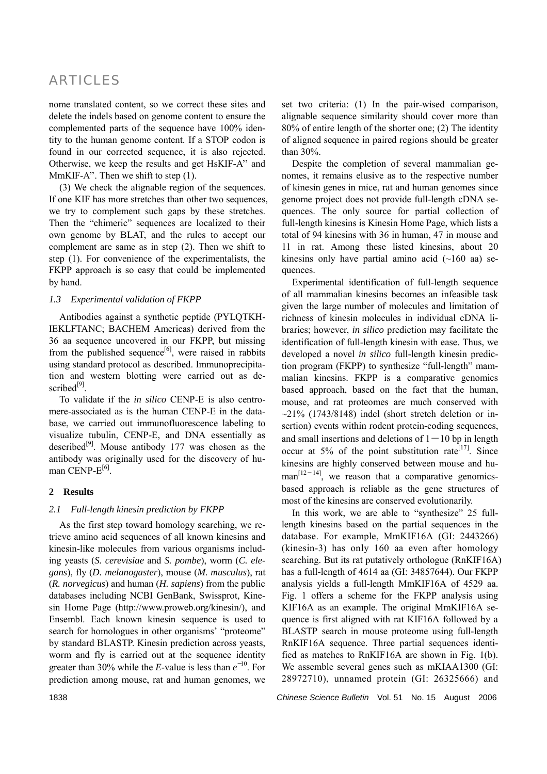nome translated content, so we correct these sites and delete the indels based on genome content to ensure the complemented parts of the sequence have 100% identity to the human genome content. If a STOP codon is found in our corrected sequence, it is also rejected. Otherwise, we keep the results and get HsKIF-A'' and MmKIF-A''. Then we shift to step (1).

(3) We check the alignable region of the sequences. If one KIF has more stretches than other two sequences, we try to complement such gaps by these stretches. Then the "chimeric" sequences are localized to their own genome by BLAT, and the rules to accept our complement are same as in step (2). Then we shift to step (1). For convenience of the experimentalists, the FKPP approach is so easy that could be implemented by hand.

### *1.3 Experimental validation of FKPP*

Antibodies against a synthetic peptide (PYLQTKH-IEKLFTANC; BACHEM Americas) derived from the 36 aa sequence uncovered in our FKPP, but missing from the published sequence<sup>[6]</sup>, were raised in rabbits using standard protocol as described. Immunoprecipitation and western blotting were carried out as described<sup>[9]</sup>.

To validate if the *in silico* CENP-E is also centromere-associated as is the human CENP-E in the database, we carried out immunofluorescence labeling to visualize tubulin, CENP-E, and DNA essentially as described $[9]$ . Mouse antibody 177 was chosen as the antibody was originally used for the discovery of human CENP-E<sup>[6]</sup>.

### **2 Results**

### *2.1 Full-length kinesin prediction by FKPP*

As the first step toward homology searching, we retrieve amino acid sequences of all known kinesins and kinesin-like molecules from various organisms including yeasts (*S. cerevisiae* and *S. pombe*), worm (*C. elegans*), fly (*D. melanogaster*), mouse (*M. musculus*), rat (*R. norvegicus*) and human (*H. sapiens*) from the public databases including NCBI GenBank, Swissprot, Kinesin Home Page (http://www.proweb.org/kinesin/), and Ensembl. Each known kinesin sequence is used to search for homologues in other organisms' "proteome" by standard BLASTP. Kinesin prediction across yeasts, worm and fly is carried out at the sequence identity greater than 30% while the *E*-value is less than  $e^{-10}$ . For prediction among mouse, rat and human genomes, we

set two criteria: (1) In the pair-wised comparison, alignable sequence similarity should cover more than 80% of entire length of the shorter one; (2) The identity of aligned sequence in paired regions should be greater than 30%.

Despite the completion of several mammalian genomes, it remains elusive as to the respective number of kinesin genes in mice, rat and human genomes since genome project does not provide full-length cDNA sequences. The only source for partial collection of full-length kinesins is Kinesin Home Page, which lists a total of 94 kinesins with 36 in human, 47 in mouse and 11 in rat. Among these listed kinesins, about 20 kinesins only have partial amino acid  $(\sim]160$  aa) sequences.

Experimental identification of full-length sequence of all mammalian kinesins becomes an infeasible task given the large number of molecules and limitation of richness of kinesin molecules in individual cDNA libraries; however, *in silico* prediction may facilitate the identification of full-length kinesin with ease. Thus, we developed a novel *in silico* full-length kinesin prediction program (FKPP) to synthesize "full-length" mammalian kinesins. FKPP is a comparative genomics based approach, based on the fact that the human, mouse, and rat proteomes are much conserved with  $\sim$ 21% (1743/8148) indel (short stretch deletion or insertion) events within rodent protein-coding sequences, and small insertions and deletions of  $1 - 10$  bp in length occur at  $5\%$  of the point substitution rate<sup>[17]</sup>. Since kinesins are highly conserved between mouse and hu- $\text{man}^{[12-14]}$ , we reason that a comparative genomicsbased approach is reliable as the gene structures of most of the kinesins are conserved evolutionarily.

In this work, we are able to "synthesize" 25 fulllength kinesins based on the partial sequences in the database. For example, MmKIF16A (GI: 2443266) (kinesin-3) has only 160 aa even after homology searching. But its rat putatively orthologue (RnKIF16A) has a full-length of 4614 aa (GI: 34857644). Our FKPP analysis yields a full-length MmKIF16A of 4529 aa. Fig. 1 offers a scheme for the FKPP analysis using KIF16A as an example. The original MmKIF16A sequence is first aligned with rat KIF16A followed by a BLASTP search in mouse proteome using full-length RnKIF16A sequence. Three partial sequences identified as matches to RnKIF16A are shown in Fig. 1(b). We assemble several genes such as mKIAA1300 (GI: 28972710), unnamed protein (GI: 26325666) and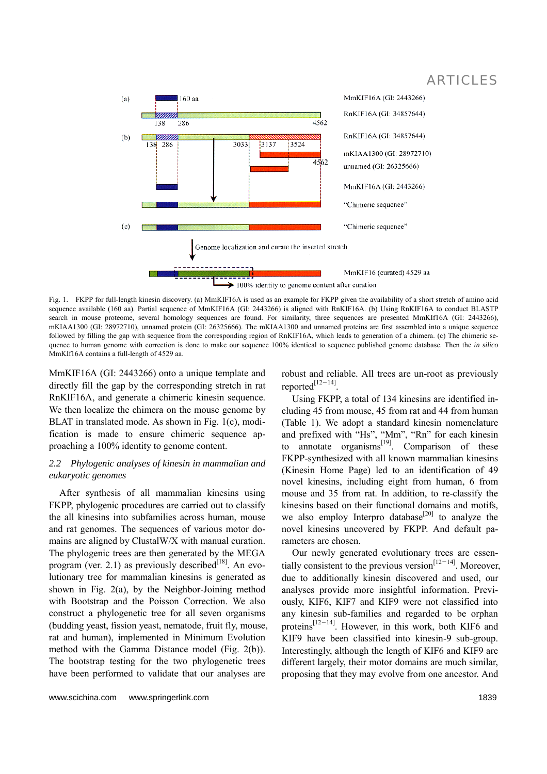

Fig. 1. FKPP for full-length kinesin discovery. (a) MmKIF16A is used as an example for FKPP given the availability of a short stretch of amino acid sequence available (160 aa). Partial sequence of MmKIF16A (GI: 2443266) is aligned with RnKIF16A. (b) Using RnKIF16A to conduct BLASTP search in mouse proteome, several homology sequences are found. For similarity, three sequences are presented MmKIf16A (GI: 2443266), mKIAA1300 (GI: 28972710), unnamed protein (GI: 26325666). The mKIAA1300 and unnamed proteins are first assembled into a unique sequence followed by filling the gap with sequence from the corresponding region of RnKIF16A, which leads to generation of a chimera. (c) The chimeric sequence to human genome with correction is done to make our sequence 100% identical to sequence published genome database. Then the *in silico* MmKIf16A contains a full-length of 4529 aa.

MmKIF16A (GI: 2443266) onto a unique template and directly fill the gap by the corresponding stretch in rat RnKIF16A, and generate a chimeric kinesin sequence. We then localize the chimera on the mouse genome by BLAT in translated mode. As shown in Fig. 1(c), modification is made to ensure chimeric sequence approaching a 100% identity to genome content.

### *2.2 Phylogenic analyses of kinesin in mammalian and eukaryotic genomes*

After synthesis of all mammalian kinesins using FKPP, phylogenic procedures are carried out to classify the all kinesins into subfamilies across human, mouse and rat genomes. The sequences of various motor domains are aligned by ClustalW/X with manual curation. The phylogenic trees are then generated by the MEGA program (ver. 2.1) as previously described<sup>[18]</sup>. An evolutionary tree for mammalian kinesins is generated as shown in Fig. 2(a), by the Neighbor-Joining method with Bootstrap and the Poisson Correction. We also construct a phylogenetic tree for all seven organisms (budding yeast, fission yeast, nematode, fruit fly, mouse, rat and human), implemented in Minimum Evolution method with the Gamma Distance model (Fig. 2(b)). The bootstrap testing for the two phylogenetic trees have been performed to validate that our analyses are

robust and reliable. All trees are un-root as previously reported $^{[12-14]}$ 

Using FKPP, a total of 134 kinesins are identified including 45 from mouse, 45 from rat and 44 from human (Table 1). We adopt a standard kinesin nomenclature and prefixed with "Hs", "Mm", "Rn" for each kinesin to annotate organisms $^{[19]}$ . Comparison of these FKPP-synthesized with all known mammalian kinesins (Kinesin Home Page) led to an identification of 49 novel kinesins, including eight from human, 6 from mouse and 35 from rat. In addition, to re-classify the kinesins based on their functional domains and motifs, we also employ Interpro database<sup>[20]</sup> to analyze the novel kinesins uncovered by FKPP. And default parameters are chosen.

Our newly generated evolutionary trees are essentially consistent to the previous version $[12-14]$ . Moreover, due to additionally kinesin discovered and used, our analyses provide more insightful information. Previously, KIF6, KIF7 and KIF9 were not classified into any kinesin sub-families and regarded to be orphan proteins<sup>[12–14]</sup>. However, in this work, both KIF6 and KIF9 have been classified into kinesin-9 sub-group. Interestingly, although the length of KIF6 and KIF9 are different largely, their motor domains are much similar, proposing that they may evolve from one ancestor. And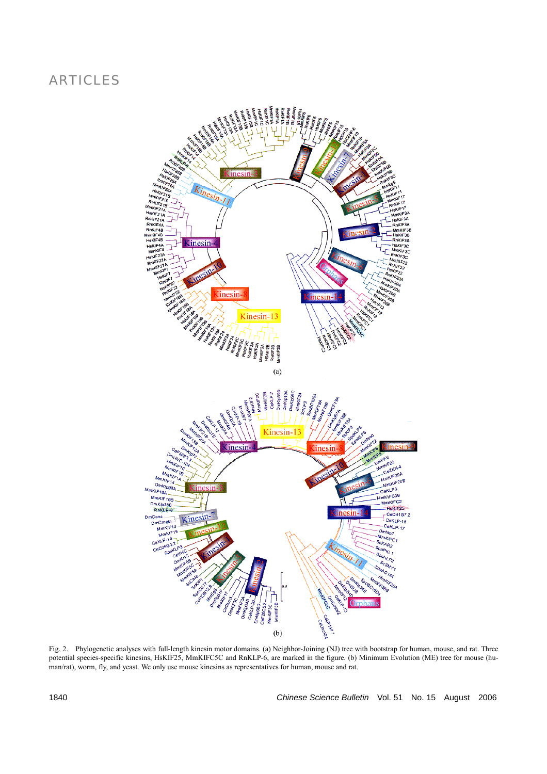

Fig. 2. Phylogenetic analyses with full-length kinesin motor domains. (a) Neighbor-Joining (NJ) tree with bootstrap for human, mouse, and rat. Three potential species-specific kinesins, HsKIF25, MmKIFC5C and RnKLP-6, are marked in the figure. (b) Minimum Evolution (ME) tree for mouse (human/rat), worm, fly, and yeast. We only use mouse kinesins as representatives for human, mouse and rat.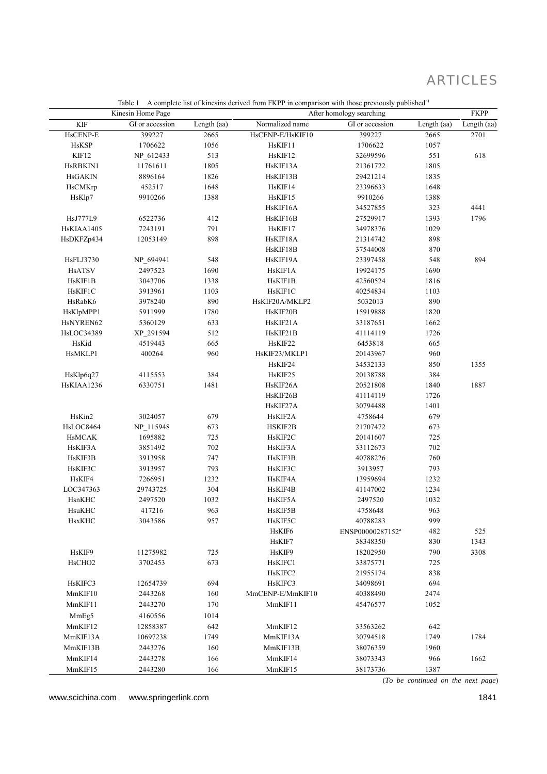|                    | raoie + + + complete not of kincomo actived from + KFT in comparison with those previously paolismed<br>Kinesin Home Page<br>After homology searching |             |                  |                              |             | <b>FKPP</b> |
|--------------------|-------------------------------------------------------------------------------------------------------------------------------------------------------|-------------|------------------|------------------------------|-------------|-------------|
| KIF                | GI or accession                                                                                                                                       | Length (aa) | Normalized name  | GI or accession              | Length (aa) | Length (aa) |
| HsCENP-E           | 399227                                                                                                                                                | 2665        | HsCENP-E/HsKIF10 | 399227                       | 2665        | 2701        |
| <b>HsKSP</b>       | 1706622                                                                                                                                               | 1056        | HsKIF11          | 1706622                      | 1057        |             |
| KIF12              | NP_612433                                                                                                                                             | 513         | HsKIF12          | 32699596                     | 551         | 618         |
| HsRBKIN1           | 11761611                                                                                                                                              | 1805        | HsKIF13A         | 21361722                     | 1805        |             |
| <b>HsGAKIN</b>     | 8896164                                                                                                                                               | 1826        | HsKIF13B         | 29421214                     | 1835        |             |
| <b>HsCMKrp</b>     | 452517                                                                                                                                                | 1648        | HsKIF14          | 23396633                     | 1648        |             |
| HsKlp7             | 9910266                                                                                                                                               | 1388        | HsKIF15          | 9910266                      | 1388        |             |
|                    |                                                                                                                                                       |             | HsKIF16A         | 34527855                     | 323         | 4441        |
| HsJ777L9           | 6522736                                                                                                                                               | 412         | HsKIF16B         | 27529917                     | 1393        | 1796        |
| HsKIAA1405         | 7243191                                                                                                                                               | 791         | HsKIF17          | 34978376                     | 1029        |             |
| HsDKFZp434         | 12053149                                                                                                                                              | 898         | HsKIF18A         | 21314742                     | 898         |             |
|                    |                                                                                                                                                       |             | HsKIF18B         | 37544008                     | 870         |             |
| <b>HsFLJ3730</b>   | NP_694941                                                                                                                                             | 548         | HsKIF19A         | 23397458                     | 548         | 894         |
| <b>HsATSV</b>      | 2497523                                                                                                                                               | 1690        | HsKIF1A          | 19924175                     | 1690        |             |
| HsKIF1B            | 3043706                                                                                                                                               | 1338        | HsKIF1B          | 42560524                     | 1816        |             |
| HsKIF1C            | 3913961                                                                                                                                               | 1103        | HsKIF1C          | 40254834                     | 1103        |             |
| HsRabK6            | 3978240                                                                                                                                               | 890         | HsKIF20A/MKLP2   | 5032013                      | 890         |             |
| HsKlpMPP1          | 5911999                                                                                                                                               | 1780        | HsKIF20B         | 15919888                     | 1820        |             |
| HsNYREN62          | 5360129                                                                                                                                               | 633         | HsKIF21A         | 33187651                     | 1662        |             |
| <b>HsLOC34389</b>  | XP_291594                                                                                                                                             | 512         | HsKIF21B         | 41114119                     | 1726        |             |
| HsKid              | 4519443                                                                                                                                               | 665         | HsKIF22          | 6453818                      | 665         |             |
| HsMKLP1            | 400264                                                                                                                                                | 960         | HsKIF23/MKLP1    | 20143967                     | 960         |             |
|                    |                                                                                                                                                       |             | HsKIF24          | 34532133                     | 850         | 1355        |
| HsKlp6q27          | 4115553                                                                                                                                               | 384         | HsKIF25          | 20138788                     | 384         |             |
| HsKIAA1236         | 6330751                                                                                                                                               | 1481        | HsKIF26A         | 20521808                     | 1840        | 1887        |
|                    |                                                                                                                                                       |             | HsKIF26B         | 41114119                     | 1726        |             |
|                    |                                                                                                                                                       |             | HsKIF27A         | 30794488                     | 1401        |             |
| HsKin2             | 3024057                                                                                                                                               | 679         | HsKIF2A          |                              | 679         |             |
| HsLOC8464          |                                                                                                                                                       | 673         | HSKIF2B          | 4758644                      | 673         |             |
|                    | NP_115948                                                                                                                                             |             |                  | 21707472                     |             |             |
| <b>HsMCAK</b>      | 1695882                                                                                                                                               | 725<br>702  | HsKIF2C          | 20141607                     | 725<br>702  |             |
| HsKIF3A            | 3851492                                                                                                                                               | 747         | HsKIF3A          | 33112673                     | 760         |             |
| HsKIF3B            | 3913958                                                                                                                                               | 793         | HsKIF3B          | 40788226                     | 793         |             |
| HsKIF3C            | 3913957                                                                                                                                               |             | HsKIF3C          | 3913957                      |             |             |
| HsKIF4             | 7266951                                                                                                                                               | 1232        | HsKIF4A          | 13959694                     | 1232        |             |
| LOC347363          | 29743725                                                                                                                                              | 304         | HsKIF4B          | 41147002                     | 1234        |             |
| HsnKHC<br>HsuKHC   | 2497520                                                                                                                                               | 1032        | HsKIF5A          | 2497520                      | 1032        |             |
|                    | 417216                                                                                                                                                | 963         | HsKIF5B          | 4758648                      | 963         |             |
| <b>HsxKHC</b>      | 3043586                                                                                                                                               | 957         | HsKIF5C          | 40788283                     | 999         |             |
|                    |                                                                                                                                                       |             | HsKIF6           | ENSP00000287152 <sup>a</sup> | 482         | 525         |
|                    |                                                                                                                                                       |             | HsKIF7           | 38348350                     | 830         | 1343        |
| HsKIF9             | 11275982                                                                                                                                              | 725         | HsKIF9           | 18202950                     | 790         | 3308        |
| HsCHO <sub>2</sub> | 3702453                                                                                                                                               | 673         | HsKIFC1          | 33875771                     | 725         |             |
|                    |                                                                                                                                                       |             | HsKIFC2          | 21955174                     | 838         |             |
| HsKIFC3            | 12654739                                                                                                                                              | 694         | HsKIFC3          | 34098691                     | 694         |             |
| MmKIF10            | 2443268                                                                                                                                               | 160         | MmCENP-E/MmKIF10 | 40388490                     | 2474        |             |
| MmKIF11            | 2443270                                                                                                                                               | 170         | MmKIF11          | 45476577                     | 1052        |             |
| MmEg5              | 4160556                                                                                                                                               | 1014        |                  |                              |             |             |
| MmKIF12            | 12858387                                                                                                                                              | 642         | MmKIF12          | 33563262                     | 642         |             |
| MmKIF13A           | 10697238                                                                                                                                              | 1749        | MmKIF13A         | 30794518                     | 1749        | 1784        |
| MmKIF13B           | 2443276                                                                                                                                               | 160         | MmKIF13B         | 38076359                     | 1960        |             |
| MmKIF14            | 2443278                                                                                                                                               | 166         | MmKIF14          | 38073343                     | 966         | 1662        |
| MmKIF15            | 2443280                                                                                                                                               | 166         | MmKIF15          | 38173736                     | 1387        |             |

Table 1 A complete list of kinesins derived from FKPP in comparison with those previously published<sup>a)</sup>

www.scichina.com www.springerlink.com 1841

(*To be continued on the next page*)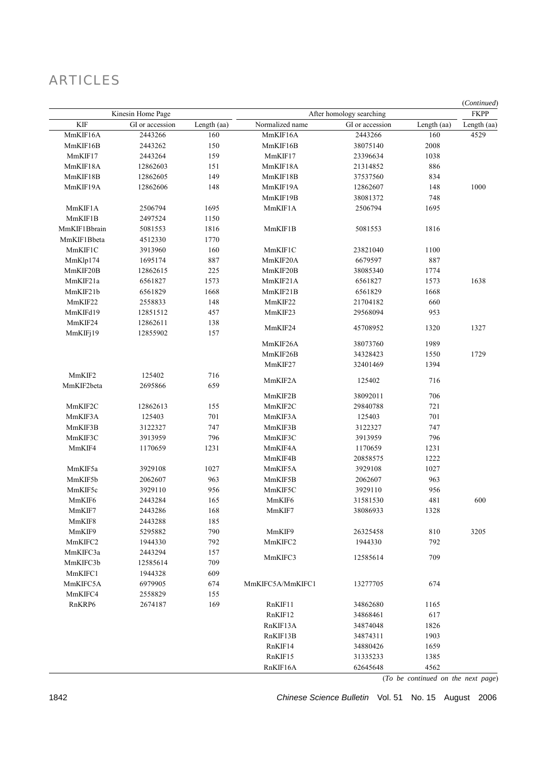| Kinesin Home Page |          | After homology searching |                     |                      | (Continued)<br><b>FKPP</b> |            |
|-------------------|----------|--------------------------|---------------------|----------------------|----------------------------|------------|
|                   |          |                          |                     |                      |                            | <b>KIF</b> |
| MmKIF16A          | 2443266  | 160                      | MmKIF16A            | 2443266              | 160                        | 4529       |
| MmKIF16B          | 2443262  | 150                      | MmKIF16B            | 38075140             | 2008                       |            |
| MmKIF17           | 2443264  | 159                      | MmKIF17             | 23396634             | 1038                       |            |
| MmKIF18A          | 12862603 | 151                      | MmKIF18A            | 21314852             | 886                        |            |
| MmKIF18B          | 12862605 | 149                      | MmKIF18B            | 37537560             | 834                        |            |
| MmKIF19A          | 12862606 | 148                      | MmKIF19A            | 12862607             | 148                        | 1000       |
|                   |          |                          | MmKIF19B            | 38081372             | 748                        |            |
| MmKIF1A           | 2506794  | 1695                     | MmKIF1A             | 2506794              | 1695                       |            |
| MmKIF1B           | 2497524  | 1150                     |                     |                      |                            |            |
| MmKIF1Bbrain      | 5081553  | 1816                     | MmKIF1B             | 5081553              | 1816                       |            |
| MmKIF1Bbeta       | 4512330  | 1770                     |                     |                      |                            |            |
| MmKIF1C           | 3913960  | 160                      | MmKIF1C             | 23821040             | 1100                       |            |
| MmKlp174          | 1695174  | 887                      | MmKIF20A            | 6679597              | 887                        |            |
| MmKIF20B          | 12862615 | 225                      | MmKIF20B            | 38085340             | 1774                       |            |
| MmKIF21a          | 6561827  | 1573                     | MmKIF21A            | 6561827              | 1573                       | 1638       |
| MmKIF21b          | 6561829  | 1668                     | MmKIF21B            | 6561829              | 1668                       |            |
| MmKIF22           | 2558833  | 148                      | MmKIF22             | 21704182             | 660                        |            |
| MmKIFd19          | 12851512 | 457                      | MmKIF23             | 29568094             | 953                        |            |
| MmKIF24           | 12862611 | 138                      |                     |                      |                            |            |
| MmKIFj19          | 12855902 | 157                      | MmKIF24             | 45708952             | 1320                       | 1327       |
|                   |          |                          | MmKIF26A            | 38073760             | 1989                       |            |
|                   |          |                          | MmKIF26B            | 34328423             | 1550                       | 1729       |
|                   |          |                          | MmKIF27             | 32401469             | 1394                       |            |
| MmKIF2            | 125402   | 716                      |                     |                      |                            |            |
| MmKIF2beta        | 2695866  | 659                      | MmKIF2A             | 125402               | 716                        |            |
|                   |          |                          | MmKIF2B             | 38092011             | 706                        |            |
| MmKIF2C           | 12862613 | 155                      | MmKIF2C             | 29840788             | 721                        |            |
| MmKIF3A           | 125403   | 701                      | MmKIF3A             | 125403               | 701                        |            |
| MmKIF3B           | 3122327  | 747                      | MmKIF3B             | 3122327              | 747                        |            |
| MmKIF3C           |          | 796                      | MmKIF3C             | 3913959              | 796                        |            |
|                   | 3913959  |                          |                     |                      |                            |            |
| MmKIF4            | 1170659  | 1231                     | MmKIF4A             | 1170659              | 1231                       |            |
|                   |          |                          | MmKIF4B             | 20858575             | 1222                       |            |
| MmKIF5a           | 3929108  | 1027                     | MmKIF5A             | 3929108              | 1027                       |            |
| MmKIF5b           | 2062607  | 963                      | MmKIF5B             | 2062607              | 963                        |            |
| MmKIF5c           | 3929110  | 956                      | MmKIF5C             | 3929110              | 956                        |            |
| MmKIF6            | 2443284  | 165                      | MmKIF6              | 31581530             | 481                        | 600        |
| MmKIF7            | 2443286  | 168                      | MmKIF7              | 38086933             | 1328                       |            |
| MmKIF8            | 2443288  | 185                      |                     |                      |                            |            |
| MmKIF9            | 5295882  | 790                      | MmKIF9              | 26325458             | 810                        | 3205       |
| MmKIFC2           | 1944330  | 792                      | MmKIFC2             | 1944330              | 792                        |            |
| MmKIFC3a          | 2443294  | 157                      | MmKIFC3             | 12585614             | 709                        |            |
| MmKIFC3b          | 12585614 | 709                      |                     |                      |                            |            |
| MmKIFC1           | 1944328  | 609                      |                     |                      |                            |            |
| MmKIFC5A          | 6979905  | 674                      | MmKIFC5A/MmKIFC1    | 13277705             | 674                        |            |
| MmKIFC4           | 2558829  | 155                      |                     |                      |                            |            |
| RnKRP6            | 2674187  | 169                      | RnKIF11             | 34862680             | 1165                       |            |
|                   |          |                          | RnKIF12             | 34868461             | 617                        |            |
|                   |          |                          | RnKIF13A            | 34874048             | 1826                       |            |
|                   |          |                          | RnKIF13B            | 34874311             | 1903                       |            |
|                   |          |                          |                     |                      | 1659                       |            |
|                   |          |                          | RnKIF15             | 31335233             | 1385                       |            |
|                   |          |                          |                     |                      |                            |            |
|                   |          |                          | RnKIF14<br>RnKIF16A | 34880426<br>62645648 | 4562                       |            |

(*To be continued on the next page*)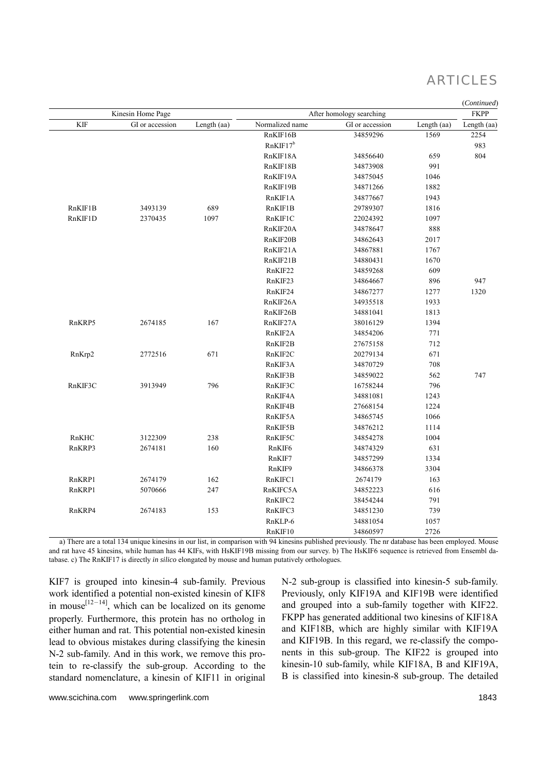|                   |                 |                          |                      |                 |             | (Continued) |
|-------------------|-----------------|--------------------------|----------------------|-----------------|-------------|-------------|
| Kinesin Home Page |                 | After homology searching |                      |                 | <b>FKPP</b> |             |
| <b>KIF</b>        | GI or accession | Length (aa)              | Normalized name      | GI or accession | Length (aa) | Length (aa) |
|                   |                 |                          | RnKIF16B             | 34859296        | 1569        | 2254        |
|                   |                 |                          | RnKIF17 <sup>b</sup> |                 |             | 983         |
|                   |                 |                          | RnKIF18A             | 34856640        | 659         | 804         |
|                   |                 |                          | RnKIF18B             | 34873908        | 991         |             |
|                   |                 |                          | RnKIF19A             | 34875045        | 1046        |             |
|                   |                 |                          | RnKIF19B             | 34871266        | 1882        |             |
|                   |                 |                          | RnKIF1A              | 34877667        | 1943        |             |
| RnKIF1B           | 3493139         | 689                      | RnKIF1B              | 29789307        | 1816        |             |
| RnKIF1D           | 2370435         | 1097                     | RnKIF1C              | 22024392        | 1097        |             |
|                   |                 |                          | RnKIF20A             | 34878647        | 888         |             |
|                   |                 |                          | RnKIF20B             | 34862643        | 2017        |             |
|                   |                 |                          | RnKIF21A             | 34867881        | 1767        |             |
|                   |                 |                          | RnKIF21B             | 34880431        | 1670        |             |
|                   |                 |                          | RnKIF22              | 34859268        | 609         |             |
|                   |                 |                          | RnKIF23              | 34864667        | 896         | 947         |
|                   |                 |                          | RnKIF24              | 34867277        | 1277        | 1320        |
|                   |                 |                          | RnKIF26A             | 34935518        | 1933        |             |
|                   |                 |                          | RnKIF26B             | 34881041        | 1813        |             |
| RnKRP5            | 2674185         | 167                      | RnKIF27A             | 38016129        | 1394        |             |
|                   |                 |                          | RnKIF2A              | 34854206        | 771         |             |
|                   |                 |                          | RnKIF2B              | 27675158        | 712         |             |
| RnKrp2            | 2772516         | 671                      | RnKIF2C              | 20279134        | 671         |             |
|                   |                 |                          | RnKIF3A              | 34870729        | 708         |             |
|                   |                 |                          | RnKIF3B              | 34859022        | 562         | 747         |
| RnKIF3C           | 3913949         | 796                      | RnKIF3C              | 16758244        | 796         |             |
|                   |                 |                          | RnKIF4A              | 34881081        | 1243        |             |
|                   |                 |                          | RnKIF4B              | 27668154        | 1224        |             |
|                   |                 |                          | RnKIF5A              | 34865745        | 1066        |             |
|                   |                 |                          | RnKIF5B              | 34876212        | 1114        |             |
| RnKHC             | 3122309         | 238                      | RnKIF5C              | 34854278        | 1004        |             |
| RnKRP3            | 2674181         | 160                      | RnKIF6               | 34874329        | 631         |             |
|                   |                 |                          | RnKIF7               | 34857299        | 1334        |             |
|                   |                 |                          | RnKIF9               | 34866378        | 3304        |             |
| RnKRP1            | 2674179         | 162                      | RnKIFC1              | 2674179         | 163         |             |
| RnKRP1            | 5070666         | 247                      | RnKIFC5A             | 34852223        | 616         |             |
|                   |                 |                          | RnKIFC2              | 38454244        | 791         |             |
| RnKRP4            | 2674183         | 153                      | RnKIFC3              | 34851230        | 739         |             |
|                   |                 |                          | RnKLP-6              | 34881054        | 1057        |             |
|                   |                 |                          | RnKIF10              | 34860597        | 2726        |             |

a) There are a total 134 unique kinesins in our list, in comparison with 94 kinesins published previously. The nr database has been employed. Mouse and rat have 45 kinesins, while human has 44 KIFs, with HsKIF19B missing from our survey. b) The HsKIF6 sequence is retrieved from Ensembl database. c) The RnKIF17 is directly *in silico* elongated by mouse and human putatively orthologues.

KIF7 is grouped into kinesin-4 sub-family. Previous work identified a potential non-existed kinesin of KIF8 in mouse<sup>[12–14]</sup>, which can be localized on its genome properly. Furthermore, this protein has no ortholog in either human and rat. This potential non-existed kinesin lead to obvious mistakes during classifying the kinesin N-2 sub-family. And in this work, we remove this protein to re-classify the sub-group. According to the standard nomenclature, a kinesin of KIF11 in original

N-2 sub-group is classified into kinesin-5 sub-family. Previously, only KIF19A and KIF19B were identified and grouped into a sub-family together with KIF22. FKPP has generated additional two kinesins of KIF18A and KIF18B, which are highly similar with KIF19A and KIF19B. In this regard, we re-classify the components in this sub-group. The KIF22 is grouped into kinesin-10 sub-family, while KIF18A, B and KIF19A, B is classified into kinesin-8 sub-group. The detailed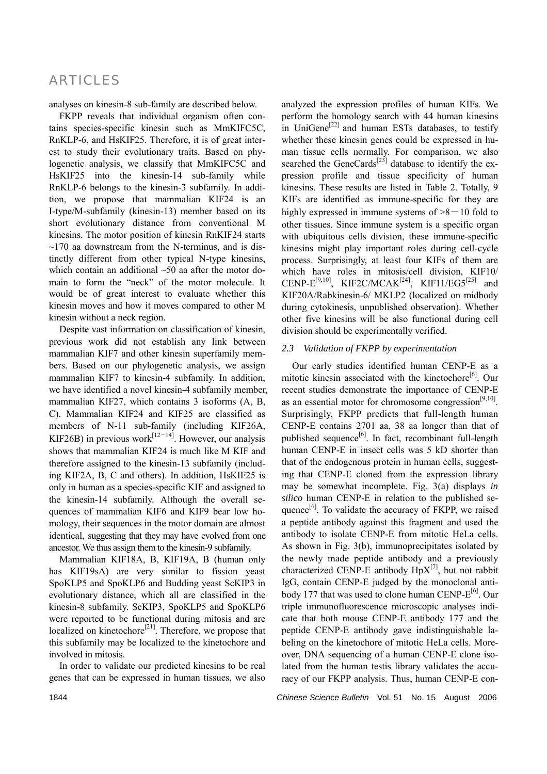analyses on kinesin-8 sub-family are described below.

FKPP reveals that individual organism often contains species-specific kinesin such as MmKIFC5C, RnKLP-6, and HsKIF25. Therefore, it is of great interest to study their evolutionary traits. Based on phylogenetic analysis, we classify that MmKIFC5C and HsKIF25 into the kinesin-14 sub-family while RnKLP-6 belongs to the kinesin-3 subfamily. In addition, we propose that mammalian KIF24 is an I-type/M-subfamily (kinesin-13) member based on its short evolutionary distance from conventional M kinesins. The motor position of kinesin RnKIF24 starts  $\sim$ 170 aa downstream from the N-terminus, and is distinctly different from other typical N-type kinesins, which contain an additional  $~50$  aa after the motor domain to form the "neck" of the motor molecule. It would be of great interest to evaluate whether this kinesin moves and how it moves compared to other M kinesin without a neck region.

Despite vast information on classification of kinesin, previous work did not establish any link between mammalian KIF7 and other kinesin superfamily members. Based on our phylogenetic analysis, we assign mammalian KIF7 to kinesin-4 subfamily. In addition, we have identified a novel kinesin-4 subfamily member, mammalian KIF27, which contains 3 isoforms (A, B, C). Mammalian KIF24 and KIF25 are classified as members of N-11 sub-family (including KIF26A, KIF26B) in previous work<sup>[12–14]</sup>. However, our analysis shows that mammalian KIF24 is much like M KIF and therefore assigned to the kinesin-13 subfamily (including KIF2A, B, C and others). In addition, HsKIF25 is only in human as a species-specific KIF and assigned to the kinesin-14 subfamily. Although the overall sequences of mammalian KIF6 and KIF9 bear low homology, their sequences in the motor domain are almost identical, suggesting that they may have evolved from one ancestor. We thus assign them to the kinesin-9 subfamily.

Mammalian KIF18A, B, KIF19A, B (human only has KIF19sA) are very similar to fission yeast SpoKLP5 and SpoKLP6 and Budding yeast ScKIP3 in evolutionary distance, which all are classified in the kinesin-8 subfamily. ScKIP3, SpoKLP5 and SpoKLP6 were reported to be functional during mitosis and are localized on kinetochore<sup>[21]</sup>. Therefore, we propose that this subfamily may be localized to the kinetochore and involved in mitosis.

In order to validate our predicted kinesins to be real genes that can be expressed in human tissues, we also

analyzed the expression profiles of human KIFs. We perform the homology search with 44 human kinesins in UniGene<sup>[22]</sup> and human ESTs databases, to testify whether these kinesin genes could be expressed in human tissue cells normally. For comparison, we also searched the GeneCards<sup>[23]</sup> database to identify the expression profile and tissue specificity of human kinesins. These results are listed in Table 2. Totally, 9 KIFs are identified as immune-specific for they are highly expressed in immune systems of  $>8-10$  fold to other tissues. Since immune system is a specific organ with ubiquitous cells division, these immune-specific kinesins might play important roles during cell-cycle process. Surprisingly, at least four KIFs of them are which have roles in mitosis/cell division, KIF10/ CENP- $E^{[9,10]}$ , KIF2C/MCAK<sup>[24]</sup>, KIF11/EG5<sup>[25]</sup> and KIF20A/Rabkinesin-6/ MKLP2 (localized on midbody during cytokinesis, unpublished observation). Whether other five kinesins will be also functional during cell division should be experimentally verified.

### *2.3 Validation of FKPP by experimentation*

Our early studies identified human CENP-E as a mitotic kinesin associated with the kinetochore<sup>[6]</sup>. Our recent studies demonstrate the importance of CENP-E as an essential motor for chromosome congression $[9,10]$ . Surprisingly, FKPP predicts that full-length human CENP-E contains 2701 aa, 38 aa longer than that of published sequence $[6]$ . In fact, recombinant full-length human CENP-E in insect cells was 5 kD shorter than that of the endogenous protein in human cells, suggesting that CENP-E cloned from the expression library may be somewhat incomplete. Fig. 3(a) displays *in silico* human CENP-E in relation to the published sequence $[6]$ . To validate the accuracy of FKPP, we raised a peptide antibody against this fragment and used the antibody to isolate CENP-E from mitotic HeLa cells. As shown in Fig. 3(b), immunoprecipitates isolated by the newly made peptide antibody and a previously characterized CENP-E antibody  $HpX^{[7]}$ , but not rabbit IgG, contain CENP-E judged by the monoclonal antibody 177 that was used to clone human CENP- $E^{[6]}$ . Our triple immunofluorescence microscopic analyses indicate that both mouse CENP-E antibody 177 and the peptide CENP-E antibody gave indistinguishable labeling on the kinetochore of mitotic HeLa cells. Moreover, DNA sequencing of a human CENP-E clone isolated from the human testis library validates the accuracy of our FKPP analysis. Thus, human CENP-E con-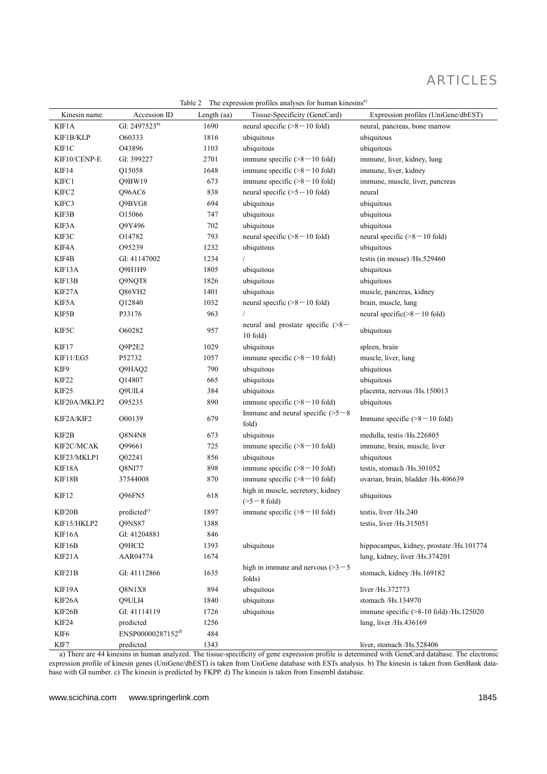| Kinesin name | Accession ID                  | Length (aa) | Tissue-Specificity (GeneCard)                         | Expression profiles (UniGene/dbEST)        |
|--------------|-------------------------------|-------------|-------------------------------------------------------|--------------------------------------------|
| KIF1A        | GI: 2497523b)                 | 1690        | neural specific $(8 - 10$ fold)                       | neural, pancreas, bone marrow              |
| KIF1B/KLP    | O60333                        | 1816        | ubiquitous                                            | ubiquitous                                 |
| KIF1C        | O43896                        | 1103        | ubiquitous                                            | ubiquitous                                 |
| KIF10/CENP-E | GI: 399227                    | 2701        | immune specific $($ >8 - 10 fold)                     | immune, liver, kidney, lung                |
| KIF14        | Q15058                        | 1648        | immune specific $($ >8 - 10 fold)                     | immune, liver, kidney                      |
| KIFC1        | Q9BW19                        | 673         | immune specific $(>=8 - 10$ fold)                     | immune, muscle, liver, pancreas            |
| KIFC2        | Q96AC6                        | 838         | neural specific $(5 - 10$ fold)                       | neural                                     |
| KIFC3        | Q9BVG8                        | 694         | ubiquitous                                            | ubiquitous                                 |
| KIF3B        | O15066                        | 747         | ubiquitous                                            | ubiquitous                                 |
| KIF3A        | Q9Y496                        | 702         | ubiquitous                                            | ubiquitous                                 |
| KIF3C        | O14782                        | 793         | neural specific $(>=8 - 10$ fold)                     | neural specific $($ >8 $-$ 10 fold)        |
| KIF4A        | 095239                        | 1232        | ubiquitous                                            | ubiquitous                                 |
| KIF4B        | GI: 41147002                  | 1234        | $\sqrt{2}$                                            | testis (in mouse) /Hs.529460               |
| KIF13A       | Q9H1H9                        | 1805        | ubiquitous                                            | ubiquitous                                 |
| KIF13B       | Q9NQT8                        | 1826        | ubiquitous                                            | ubiquitous                                 |
| KIF27A       | Q86VH2                        | 1401        | ubiquitous                                            | muscle, pancreas, kidney                   |
| KIF5A        | Q12840                        | 1032        | neural specific $(8 - 10$ fold)                       | brain, muscle, lung                        |
| KIF5B        | P33176                        | 963         | $\sqrt{ }$                                            | neural specific $($ >8 $-$ 10 fold)        |
| KIF5C        | O60282                        | 957         | neural and prostate specific $($ >8 $-$<br>$10$ fold) | ubiquitous                                 |
| KIF17        | Q9P2E2                        | 1029        | ubiquitous                                            | spleen, brain                              |
| KIF11/EG5    | P52732                        | 1057        | immune specific $($ >8 - 10 fold)                     | muscle, liver, lung                        |
| KIF9         | Q9HAQ2                        | 790         | ubiquitous                                            | ubiquitous                                 |
| KIF22        | Q14807                        | 665         | ubiquitous                                            | ubiquitous                                 |
| KIF25        | Q9UIL4                        | 384         | ubiquitous                                            | placenta, nervous /Hs.150013               |
| KIF20A/MKLP2 | 095235                        | 890         | immune specific $(>=8 - 10$ fold)                     | ubiquitous                                 |
| KIF2A/KIF2   | O00139                        | 679         | Immune and neural specific $(>=5 - 8)$<br>fold)       | Immune specific $(>=8 - 10$ fold)          |
| KIF2B        | Q8N4N8                        | 673         | ubiquitous                                            | medulla, testis /Hs.226805                 |
| KIF2C/MCAK   | Q99661                        | 725         | immune specific $($ >8 - 10 fold)                     | immune, brain, muscle, liver               |
| KIF23/MKLP1  | Q02241                        | 856         | ubiquitous                                            | ubiquitous                                 |
| KIF18A       | Q8NI77                        | 898         | immune specific $(>=8 - 10$ fold)                     | testis, stomach /Hs.301052                 |
| KIF18B       | 37544008                      | 870         | immune specific $(>=8 - 10$ fold)                     | ovarian, brain, bladder /Hs.406639         |
| KIF12        | Q96FN5                        | 618         | high in muscle, secretory, kidney<br>$(>=5 - 8$ fold) | ubiquitous                                 |
| KIF20B       | predicted <sup>c)</sup>       | 1897        | immune specific $($ >8 - 10 fold)                     | testis, liver /Hs.240                      |
| KIF15/HKLP2  | Q9NS87                        | 1388        |                                                       | testis, liver /Hs.315051                   |
| KIF16A       | GI: 41204881                  | 846         |                                                       |                                            |
| KIF16B       | Q9HCI2                        | 1393        | ubiquitous                                            | hippocampus, kidney, prostate /Hs.101774   |
| KIF21A       | AAR04774                      | 1674        |                                                       | lung, kidney, liver /Hs.374201             |
| KIF21B       | GI: 41112866                  | 1635        | high in immune and nervous $(>=3 - 5$<br>folds)       | stomach, kidney /Hs.169182                 |
| KIF19A       | Q8N1X8                        | 894         | ubiquitous                                            | liver /Hs.372773                           |
| KIF26A       | Q9ULI4                        | 1840        | ubiquitous                                            | stomach /Hs.134970                         |
| KIF26B       | GI: 41114119                  | 1726        | ubiquitous                                            | immune specific $($ >8-10 fold) /Hs.125020 |
| KIF24        | predicted                     | 1256        |                                                       | lung, liver /Hs.436169                     |
| KIF6         | ENSP00000287152 <sup>d)</sup> | 484         |                                                       |                                            |
| KIF7         | predicted                     | 1343        |                                                       | liver, stomach /Hs.528406                  |

Table 2 The expression profiles analyses for human kinesins<sup>a)</sup>

a) There are 44 kinesins in human analyzed. The tissue-specificity of gene expression profile is determined with GeneCard database. The electronic expression profile of kinesin genes (UniGene/dbEST) is taken from UniGene database with ESTs analysis. b) The kinesin is taken from GenBank database with GI number. c) The kinesin is predicted by FKPP. d) The kinesin is taken from Ensembl database.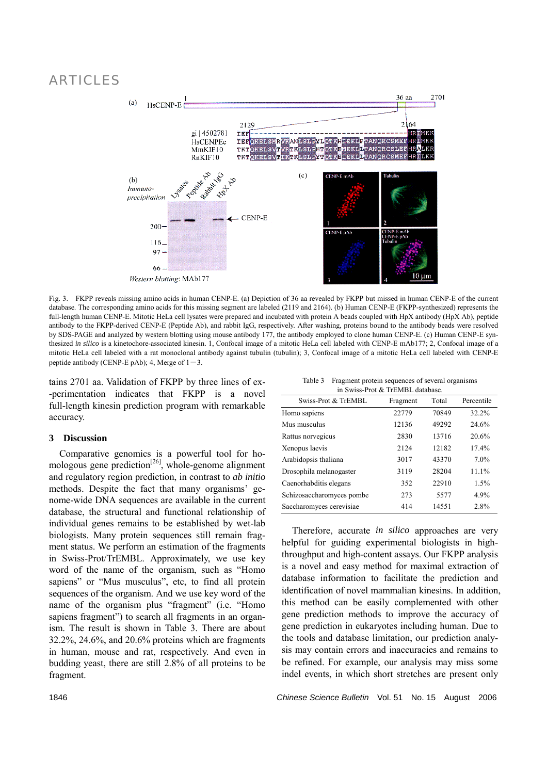

Fig. 3. FKPP reveals missing amino acids in human CENP-E. (a) Depiction of 36 aa revealed by FKPP but missed in human CENP-E of the current database. The corresponding amino acids for this missing segment are labeled (2119 and 2164). (b) Human CENP-E (FKPP-synthesized) represents the full-length human CENP-E. Mitotic HeLa cell lysates were prepared and incubated with protein A beads coupled with HpX antibody (HpX Ab), peptide antibody to the FKPP-derived CENP-E (Peptide Ab), and rabbit IgG, respectively. After washing, proteins bound to the antibody beads were resolved by SDS-PAGE and analyzed by western blotting using mouse antibody 177, the antibody employed to clone human CENP-E. (c) Human CENP-E synthesized *in silico* is a kinetochore-associated kinesin. 1, Confocal image of a mitotic HeLa cell labeled with CENP-E mAb177; 2, Confocal image of a mitotic HeLa cell labeled with a rat monoclonal antibody against tubulin (tubulin); 3, Confocal image of a mitotic HeLa cell labeled with CENP-E peptide antibody (CENP-E pAb); 4, Merge of  $1-3$ .

tains 2701 aa. Validation of FKPP by three lines of ex- -perimentation indicates that FKPP is a novel full-length kinesin prediction program with remarkable accuracy.

### **3 Discussion**

Comparative genomics is a powerful tool for homologous gene prediction<sup>[26]</sup>, whole-genome alignment and regulatory region prediction, in contrast to *ab initio* methods. Despite the fact that many organisms' genome-wide DNA sequences are available in the current database, the structural and functional relationship of individual genes remains to be established by wet-lab biologists. Many protein sequences still remain fragment status. We perform an estimation of the fragments in Swiss-Prot/TrEMBL. Approximately, we use key word of the name of the organism, such as "Homo sapiens" or "Mus musculus", etc, to find all protein sequences of the organism. And we use key word of the name of the organism plus "fragment" (i.e. "Homo sapiens fragment") to search all fragments in an organism. The result is shown in Table 3. There are about 32.2%, 24.6%, and 20.6% proteins which are fragments in human, mouse and rat, respectively. And even in budding yeast, there are still 2.8% of all proteins to be fragment.

| Table 3 Fragment protein sequences of several organisms |
|---------------------------------------------------------|
| in Swiss-Prot & TrEMBL database.                        |

| 111 D M 199 1 TOT 00 1 TEMPLE GRUUDGO. |          |       |            |  |  |
|----------------------------------------|----------|-------|------------|--|--|
| Swiss-Prot & TrEMBL                    | Fragment | Total | Percentile |  |  |
| Homo sapiens                           | 22779    | 70849 | 32.2%      |  |  |
| Mus musculus                           | 12136    | 49292 | 24.6%      |  |  |
| Rattus norvegicus                      | 2830     | 13716 | 20.6%      |  |  |
| Xenopus laevis                         | 2124     | 12182 | 17.4%      |  |  |
| Arabidopsis thaliana                   | 3017     | 43370 | 7.0%       |  |  |
| Drosophila melanogaster                | 3119     | 28204 | 11.1%      |  |  |
| Caenorhabditis elegans                 | 352      | 22910 | 1.5%       |  |  |
| Schizosaccharomyces pombe              | 273      | 5577  | 4.9%       |  |  |
| Saccharomyces cerevisiae               | 414      | 14551 | 2.8%       |  |  |

Therefore, accurate *in silico* approaches are very helpful for guiding experimental biologists in highthroughput and high-content assays. Our FKPP analysis is a novel and easy method for maximal extraction of database information to facilitate the prediction and identification of novel mammalian kinesins. In addition, this method can be easily complemented with other gene prediction methods to improve the accuracy of gene prediction in eukaryotes including human. Due to the tools and database limitation, our prediction analysis may contain errors and inaccuracies and remains to be refined. For example, our analysis may miss some indel events, in which short stretches are present only